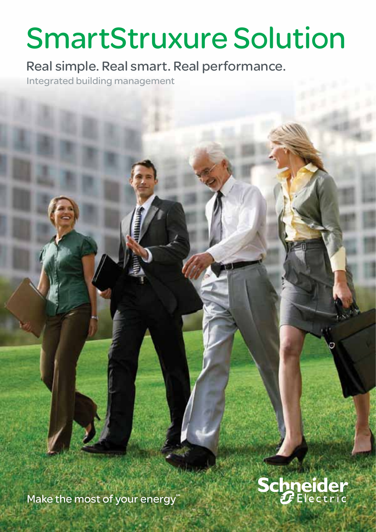# SmartStruxure Solution

Real simple. Real smart. Real performance.

Integrated building management

**Schneider** 

Make the most of your energy®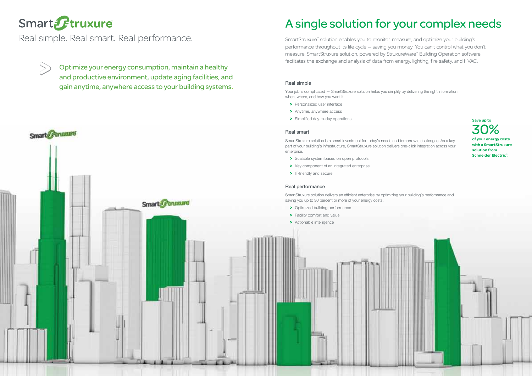## A single solution for your complex needs

# Smart Ftruxure

Real simple. Real smart. Real performance.

 $\gg$ 

Save up to 30% of your energy costs with a SmartStruxure solution from Schneider Electric™.



Optimize your energy consumption, maintain a healthy and productive environment, update aging facilities, and gain anytime, anywhere access to your building systems.

SmartStruxure™ solution enables you to monitor, measure, and optimize your building's performance throughout its life cycle — saving you money. You can't control what you don't measure. SmartStruxure solution, powered by StruxureWare™ Building Operation software, facilitates the exchange and analysis of data from energy, lighting, fire safety, and HVAC.

#### Real simple

Your job is complicated — SmartStruxure solution helps you simplify by delivering the right information when, where, and how you want it.

- > Personalized user interface
- > Anytime, anywhere access
- > Simplified day-to-day operations

SmartStruxure solution is a smart investment for today's needs and tomorrow's challenges. As a key part of your building's infrastructure, SmartStruxure solution delivers one-click integration across your



SmartStruxure solution delivers an efficient enterprise by optimizing your building's performance and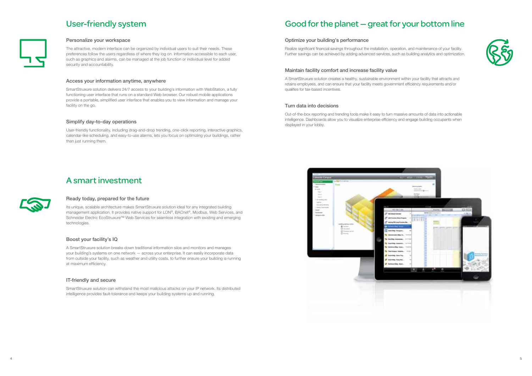

## User-friendly system



#### Personalize your workspace

The attractive, modern interface can be organized by individual users to suit their needs. These preferences follow the users regardless of where they log on. Information accessible to each user, such as graphics and alarms, can be managed at the job function or individual level for added security and accountability.

#### Access your information anytime, anywhere

SmartStruxure solution delivers 24/7 access to your building's information with WebStation, a fully functioning user interface that runs on a standard Web browser. Our robust mobile applications provide a portable, simplified user interface that enables you to view information and manage your facility on the go.

#### Simplify day-to-day operations

User-friendly functionality, including drag-and-drop trending, one-click reporting, interactive graphics, calendar-like scheduling, and easy-to-use alarms, lets you focus on optimizing your buildings, rather than just running them.

### A smart investment



#### Ready today, prepared for the future

Its unique, scalable architecture makes SmartStruxure solution ideal for any integrated building management application. It provides native support for LON®, BACnet®, Modbus, Web Services, and Schneider Electric EcoStruxure™ Web Services for seamless integration with existing and emerging technologies.

#### Boost your facility's IQ

A SmartStruxure solution breaks down traditional information silos and monitors and manages your building's systems on one network — across your enterprise. It can easily incorporate data from outside your facility, such as weather and utility costs, to further ensure your building is running at maximum efficiency.

#### IT-friendly and secure

SmartStruxure solution can withstand the most malicious attacks on your IP network. Its distributed intelligence provides fault-tolerance and keeps your building systems up and running.

## Good for the planet — great for your bottom line

#### Optimize your building's performance

Realize significant financial savings throughout the installation, operation, and maintenance of your facility. Further savings can be achieved by adding advanced services, such as building analytics and optimization.

#### Maintain facility comfort and increase facility value

A SmartStruxure solution creates a healthy, sustainable environment within your facility that attracts and retains employees, and can ensure that your facility meets government efficiency requirements and/or qualifies for tax-based incentives.

#### Turn data into decisions

Out-of-the-box reporting and trending tools make it easy to turn massive amounts of data into actionable intelligence. Dashboards allow you to visualize enterprise efficiency and engage building occupants when displayed in your lobby.

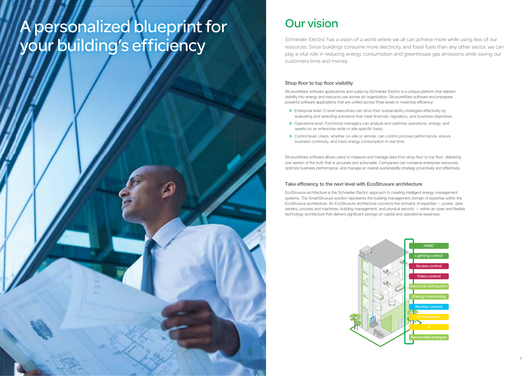# A personalized blueprint for your building's efficiency

#### Shop floor to top floor visibility

StruxureWare software applications and suites by Schneider Electric is a unique platform that delivers visibility into energy and resource use across an organization. StruxureWare software encompasses powerful software applications that are unified across three levels to maximize efficiency:

- > Enterprise level: C-level executives can drive their sustainability strategies effectively by evaluating and selecting scenarios that meet financial, regulatory, and business objectives.
- > Operations level: Functional managers can analyze and optimize operations, energy, and assets on an enterprise-wide or site-specific basis.
- > Control level: Users, whether on-site or remote, can control process performance, ensure business continuity, and track energy consumption in real time.

StruxureWare software allows users to measure and manage data from shop floor to top floor, delivering one version of the truth that is accurate and actionable. Companies can conserve enterprise resources, optimize business performance, and manage an overall sustainability strategy proactively and effectively.

#### Take efficiency to the next level with EcoStruxure architecture

EcoStruxure architecture is the Schneider Electric approach to creating intelligent energy management systems. The SmartStruxure solution represents the building management domain of expertise within the EcoStruxure architecture. An EcoStruxure architecture connects five domains of expertise — power, data centers, process and machines, building management, and physical security — within an open and flexible technology architecture that delivers significant savings on capital and operational expenses.

## Our vision

Schneider Electric has a vision of a world where we all can achieve more while using less of our resources. Since buildings consume more electricity and fossil fuels than any other sector, we can play a vital role in reducing energy consumption and greenhouse gas emissions while saving our customers time and money.



- 
-